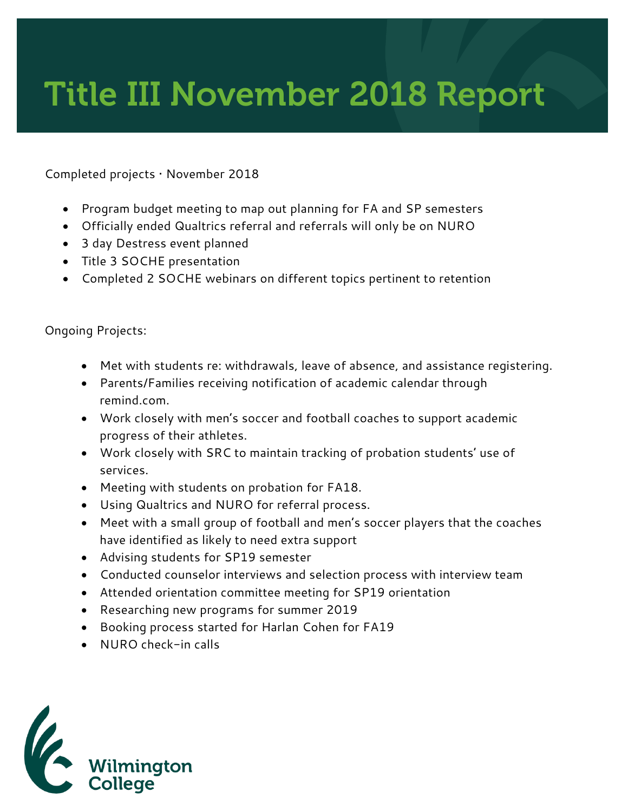## Title III November 2018 Report

Completed projects • November 2018

- Program budget meeting to map out planning for FA and SP semesters
- Officially ended Qualtrics referral and referrals will only be on NURO
- 3 day Destress event planned
- Title 3 SOCHE presentation
- Completed 2 SOCHE webinars on different topics pertinent to retention

## Ongoing Projects:

- Met with students re: withdrawals, leave of absence, and assistance registering.
- Parents/Families receiving notification of academic calendar through remind.com.
- Work closely with men's soccer and football coaches to support academic progress of their athletes.
- Work closely with SRC to maintain tracking of probation students' use of services.
- Meeting with students on probation for FA18.
- Using Qualtrics and NURO for referral process.
- Meet with a small group of football and men's soccer players that the coaches have identified as likely to need extra support
- Advising students for SP19 semester
- Conducted counselor interviews and selection process with interview team
- Attended orientation committee meeting for SP19 orientation
- Researching new programs for summer 2019
- Booking process started for Harlan Cohen for FA19
- NURO check-in calls

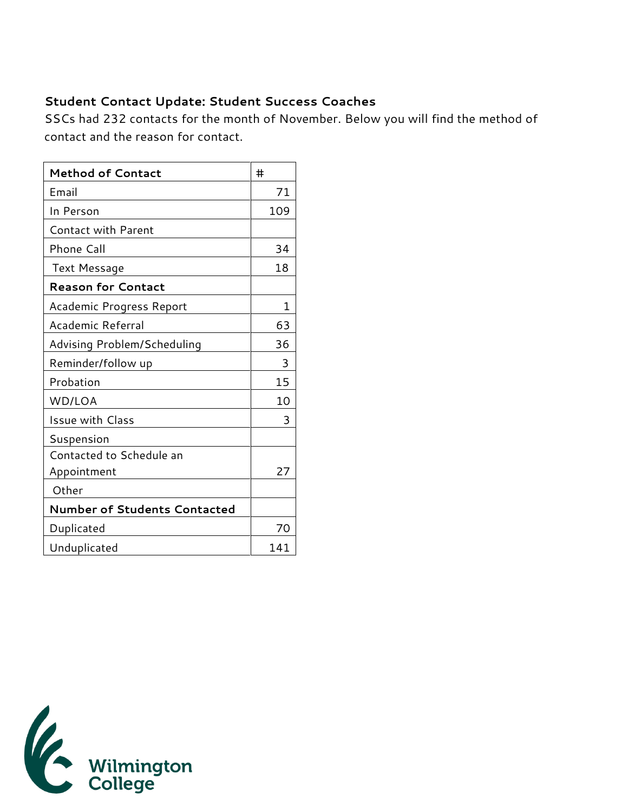## **Student Contact Update: Student Success Coaches**

SSCs had 232 contacts for the month of November. Below you will find the method of contact and the reason for contact.

| <b>Method of Contact</b>            | #   |
|-------------------------------------|-----|
| Email                               | 71  |
| In Person                           | 109 |
| <b>Contact with Parent</b>          |     |
| Phone Call                          | 34  |
| <b>Text Message</b>                 | 18  |
| <b>Reason for Contact</b>           |     |
| Academic Progress Report            | 1   |
| Academic Referral                   | 63  |
| Advising Problem/Scheduling         | 36  |
| Reminder/follow up                  | 3   |
| Probation                           | 15  |
| WD/LOA                              | 10  |
| <b>Issue with Class</b>             | 3   |
| Suspension                          |     |
| Contacted to Schedule an            |     |
| Appointment                         | 27  |
| Other                               |     |
| <b>Number of Students Contacted</b> |     |
| Duplicated                          | 70  |
| Unduplicated                        | 141 |